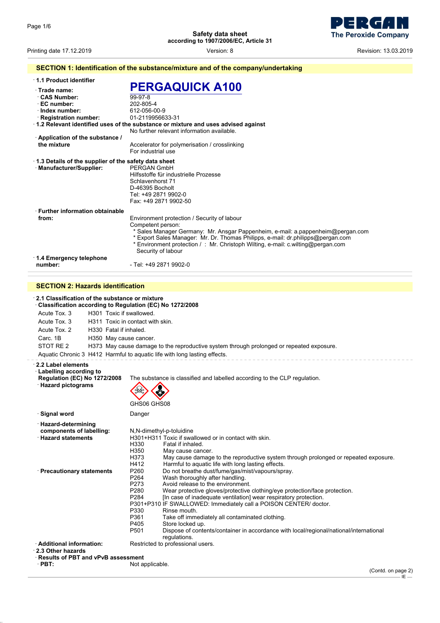**Safety data sheet according to 1907/2006/EC, Article 31**



Printing date 17.12.2019 **Printing date 17.12.2019 Revision: 13.03.2019 Version: 8 Revision: 13.03.2019** 

| SECTION 1: Identification of the substance/mixture and of the company/undertaking                                 |                                                                                                                                                                                                                                                                                                                                                                                                                                                                                                                                                                                                                          |  |  |
|-------------------------------------------------------------------------------------------------------------------|--------------------------------------------------------------------------------------------------------------------------------------------------------------------------------------------------------------------------------------------------------------------------------------------------------------------------------------------------------------------------------------------------------------------------------------------------------------------------------------------------------------------------------------------------------------------------------------------------------------------------|--|--|
| · 1.1 Product identifier                                                                                          |                                                                                                                                                                                                                                                                                                                                                                                                                                                                                                                                                                                                                          |  |  |
| $\cdot$ Trade name:<br><b>CAS Number:</b><br>· EC number:<br>· Index number:<br>$\cdot$ Registration number:      | <b>PERGAQUICK A100</b><br>99-97-8<br>202-805-4<br>612-056-00-9<br>01-2119956633-31<br>1.2 Relevant identified uses of the substance or mixture and uses advised against                                                                                                                                                                                                                                                                                                                                                                                                                                                  |  |  |
| Application of the substance /<br>the mixture                                                                     | No further relevant information available.<br>Accelerator for polymerisation / crosslinking<br>For industrial use                                                                                                                                                                                                                                                                                                                                                                                                                                                                                                        |  |  |
| 1.3 Details of the supplier of the safety data sheet<br>· Manufacturer/Supplier:                                  | PERGAN GmbH<br>Hilfsstoffe für industrielle Prozesse<br>Schlavenhorst 71<br>D-46395 Bocholt<br>Tel: +49 2871 9902-0<br>Fax: +49 2871 9902-50                                                                                                                                                                                                                                                                                                                                                                                                                                                                             |  |  |
| <b>Further information obtainable</b><br>from:                                                                    | Environment protection / Security of labour<br>Competent person:<br>* Sales Manager Germany: Mr. Ansgar Pappenheim, e-mail: a.pappenheim@pergan.com<br>* Export Sales Manager: Mr. Dr. Thomas Philipps, e-mail: dr.philipps@pergan.com<br>* Environment protection /: Mr. Christoph Wilting, e-mail: c.wilting@pergan.com<br>Security of labour                                                                                                                                                                                                                                                                          |  |  |
| 1.4 Emergency telephone<br>number:                                                                                | - Tel: +49 2871 9902-0                                                                                                                                                                                                                                                                                                                                                                                                                                                                                                                                                                                                   |  |  |
|                                                                                                                   |                                                                                                                                                                                                                                                                                                                                                                                                                                                                                                                                                                                                                          |  |  |
| <b>SECTION 2: Hazards identification</b>                                                                          |                                                                                                                                                                                                                                                                                                                                                                                                                                                                                                                                                                                                                          |  |  |
| 2.1 Classification of the substance or mixture<br>Classification according to Regulation (EC) No 1272/2008        |                                                                                                                                                                                                                                                                                                                                                                                                                                                                                                                                                                                                                          |  |  |
| Acute Tox. 3<br>H301 Toxic if swallowed.                                                                          |                                                                                                                                                                                                                                                                                                                                                                                                                                                                                                                                                                                                                          |  |  |
| Acute Tox. 3<br>H311 Toxic in contact with skin.                                                                  |                                                                                                                                                                                                                                                                                                                                                                                                                                                                                                                                                                                                                          |  |  |
| Acute Tox. 2<br>H330 Fatal if inhaled.<br>Carc. 1B<br>H350 May cause cancer.                                      |                                                                                                                                                                                                                                                                                                                                                                                                                                                                                                                                                                                                                          |  |  |
| STOT RE 2                                                                                                         | H373 May cause damage to the reproductive system through prolonged or repeated exposure.                                                                                                                                                                                                                                                                                                                                                                                                                                                                                                                                 |  |  |
|                                                                                                                   | Aquatic Chronic 3 H412 Harmful to aquatic life with long lasting effects.                                                                                                                                                                                                                                                                                                                                                                                                                                                                                                                                                |  |  |
|                                                                                                                   |                                                                                                                                                                                                                                                                                                                                                                                                                                                                                                                                                                                                                          |  |  |
| 2.2 Label elements<br><b>Labelling according to</b><br><b>Regulation (EC) No 1272/2008</b><br>· Hazard pictograms | The substance is classified and labelled according to the CLP regulation.<br>$\langle \cdot \rangle$<br>$\mathbb{Q}$<br>V,<br>GHS06 GHS08                                                                                                                                                                                                                                                                                                                                                                                                                                                                                |  |  |
| · Signal word                                                                                                     | Danger                                                                                                                                                                                                                                                                                                                                                                                                                                                                                                                                                                                                                   |  |  |
| $\cdot$ Hazard-determining<br>components of labelling:<br>$\cdot$ Hazard statements                               | N,N-dimethyl-p-toluidine<br>H301+H311 Toxic if swallowed or in contact with skin.<br>H330<br>Fatal if inhaled.<br>H350<br>May cause cancer.<br>H373<br>May cause damage to the reproductive system through prolonged or repeated exposure.<br>H412<br>Harmful to aquatic life with long lasting effects.                                                                                                                                                                                                                                                                                                                 |  |  |
| · Precautionary statements                                                                                        | P260<br>Do not breathe dust/fume/gas/mist/vapours/spray.<br>P264<br>Wash thoroughly after handling.<br>P273<br>Avoid release to the environment.<br>P280<br>Wear protective gloves/protective clothing/eye protection/face protection.<br>P284<br>[In case of inadequate ventilation] wear respiratory protection.<br>P301+P310 IF SWALLOWED: Immediately call a POISON CENTER/ doctor.<br>P330<br>Rinse mouth.<br>P361<br>Take off immediately all contaminated clothing.<br>P405<br>Store locked up.<br>P501<br>Dispose of contents/container in accordance with local/regional/national/international<br>regulations. |  |  |
| Additional information:<br>2.3 Other hazards                                                                      | Restricted to professional users.                                                                                                                                                                                                                                                                                                                                                                                                                                                                                                                                                                                        |  |  |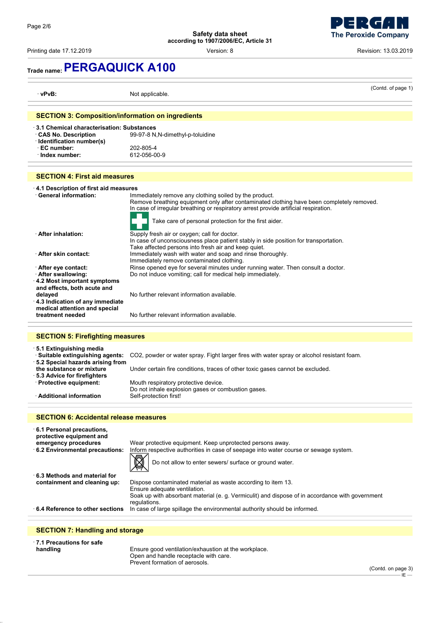Printing date 17.12.2019 **Printing date 17.12.2019 Revision: 13.03.2019 Version: 8 Revision: 13.03.2019** 



# **Trade name:PERGAQUICK A100**

| · vPvB:                                                                                                                             | (Contd. of page 1)<br>Not applicable.                                                                                                                                                                                                                                                                |  |  |
|-------------------------------------------------------------------------------------------------------------------------------------|------------------------------------------------------------------------------------------------------------------------------------------------------------------------------------------------------------------------------------------------------------------------------------------------------|--|--|
| <b>SECTION 3: Composition/information on ingredients</b>                                                                            |                                                                                                                                                                                                                                                                                                      |  |  |
| $\cdot$ 3.1 Chemical characterisation: Substances<br><b>CAS No. Description</b><br>· Identification number(s)<br>$\cdot$ EC number: | 99-97-8 N, N-dimethyl-p-toluidine                                                                                                                                                                                                                                                                    |  |  |
| $\cdot$ Index number:                                                                                                               | 202-805-4<br>612-056-00-9                                                                                                                                                                                                                                                                            |  |  |
| <b>SECTION 4: First aid measures</b>                                                                                                |                                                                                                                                                                                                                                                                                                      |  |  |
| $\cdot$ 4.1 Description of first aid measures<br>· General information:                                                             | Immediately remove any clothing soiled by the product.<br>Remove breathing equipment only after contaminated clothing have been completely removed.<br>In case of irregular breathing or respiratory arrest provide artificial respiration.<br>Take care of personal protection for the first aider. |  |  |
| <b>After inhalation:</b>                                                                                                            | Supply fresh air or oxygen; call for doctor.<br>In case of unconsciousness place patient stably in side position for transportation.<br>Take affected persons into fresh air and keep quiet.                                                                                                         |  |  |
| After skin contact:<br>∴ After eye contact:<br>· After swallowing:<br>4.2 Most important symptoms                                   | Immediately wash with water and soap and rinse thoroughly.<br>Immediately remove contaminated clothing.<br>Rinse opened eye for several minutes under running water. Then consult a doctor.<br>Do not induce vomiting; call for medical help immediately.                                            |  |  |
| and effects, both acute and<br>delayed<br>4.3 Indication of any immediate<br>medical attention and special<br>treatment needed      | No further relevant information available.<br>No further relevant information available.                                                                                                                                                                                                             |  |  |
|                                                                                                                                     |                                                                                                                                                                                                                                                                                                      |  |  |
| <b>SECTION 5: Firefighting measures</b>                                                                                             |                                                                                                                                                                                                                                                                                                      |  |  |
| ⋅5.1 Extinguishing media<br>· Suitable extinguishing agents:<br>· 5.2 Special hazards arising from<br>the substance or mixture      | CO2, powder or water spray. Fight larger fires with water spray or alcohol resistant foam.<br>Under certain fire conditions, traces of other toxic gases cannot be excluded.                                                                                                                         |  |  |
| · 5.3 Advice for firefighters<br>· Protective equipment:                                                                            | Mouth respiratory protective device.<br>Do not inhale explosion gases or combustion gases.                                                                                                                                                                                                           |  |  |
| · Additional information                                                                                                            | Self-protection first!                                                                                                                                                                                                                                                                               |  |  |
| <b>SECTION 6: Accidental release measures</b>                                                                                       |                                                                                                                                                                                                                                                                                                      |  |  |
| 6.1 Personal precautions,<br>protective equipment and                                                                               |                                                                                                                                                                                                                                                                                                      |  |  |
| emergency procedures<br>6.2 Environmental precautions:                                                                              | Wear protective equipment. Keep unprotected persons away.<br>Inform respective authorities in case of seepage into water course or sewage system.<br>Do not allow to enter sewers/ surface or ground water.                                                                                          |  |  |
| $\cdot$ 6.3 Methods and material for<br>containment and cleaning up:                                                                | Dispose contaminated material as waste according to item 13.<br>Ensure adequate ventilation.<br>Soak up with absorbant material (e. g. Vermiculit) and dispose of in accordance with government                                                                                                      |  |  |
| $\cdot$ 6.4 Reference to other sections                                                                                             | regulations.<br>In case of large spillage the environmental authority should be informed.                                                                                                                                                                                                            |  |  |
| <b>SECTION 7: Handling and storage</b>                                                                                              |                                                                                                                                                                                                                                                                                                      |  |  |
| $\cdot$ 7.1 Precautions for safe<br>handling                                                                                        | Ensure good ventilation/exhaustion at the workplace.<br>Open and handle receptacle with care.                                                                                                                                                                                                        |  |  |

Prevent formation of aerosols.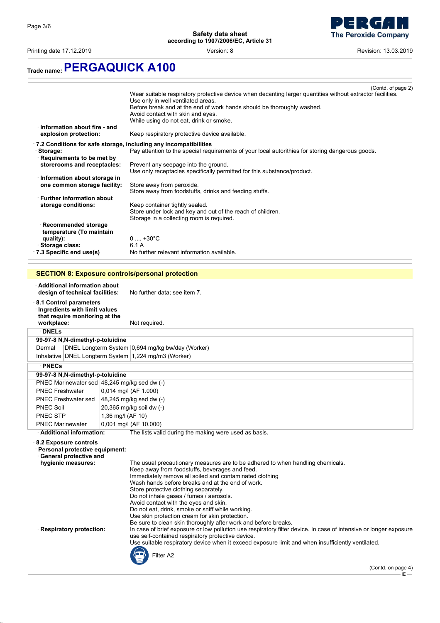Printing date 17.12.2019 **Printing date 17.12.2019 Revision: 13.03.2019 Version: 8** Revision: 13.03.2019



## **Trade name:PERGAQUICK A100**

|                                                                | (Contd. of page 2)                                                                                           |  |  |
|----------------------------------------------------------------|--------------------------------------------------------------------------------------------------------------|--|--|
|                                                                | Wear suitable respiratory protective device when decanting larger quantities without extractor facilities.   |  |  |
|                                                                | Use only in well ventilated areas.<br>Before break and at the end of work hands should be thoroughly washed. |  |  |
|                                                                | Avoid contact with skin and eyes.                                                                            |  |  |
|                                                                | While using do not eat, drink or smoke.                                                                      |  |  |
| $\cdot$ Information about fire - and                           |                                                                                                              |  |  |
| explosion protection:                                          | Keep respiratory protective device available.                                                                |  |  |
|                                                                | .7.2 Conditions for safe storage, including any incompatibilities                                            |  |  |
| Storage:                                                       | Pay attention to the special requirements of your local autorithies for storing dangerous goods.             |  |  |
| · Requirements to be met by                                    |                                                                                                              |  |  |
| storerooms and receptacles:                                    | Prevent any seepage into the ground.                                                                         |  |  |
|                                                                | Use only receptacles specifically permitted for this substance/product.                                      |  |  |
| · Information about storage in<br>one common storage facility: | Store away from peroxide.                                                                                    |  |  |
|                                                                | Store away from foodstuffs, drinks and feeding stuffs.                                                       |  |  |
| <b>Eurther information about</b> −                             |                                                                                                              |  |  |
| storage conditions:                                            | Keep container tightly sealed.                                                                               |  |  |
|                                                                | Store under lock and key and out of the reach of children.                                                   |  |  |
|                                                                | Storage in a collecting room is required.                                                                    |  |  |
| Recommended storage                                            |                                                                                                              |  |  |
| temperature (To maintain<br>quality):                          | $0 \dots +30^{\circ}C$                                                                                       |  |  |
| Storage class:                                                 | 6.1 A                                                                                                        |  |  |
| $\cdot$ 7.3 Specific end use(s)                                | No further relevant information available.                                                                   |  |  |
|                                                                |                                                                                                              |  |  |
|                                                                |                                                                                                              |  |  |
|                                                                | <b>SECTION 8: Exposure controls/personal protection</b>                                                      |  |  |
| $\cdot$ Additional information about                           |                                                                                                              |  |  |
| design of technical facilities:                                | No further data; see item 7.                                                                                 |  |  |
|                                                                |                                                                                                              |  |  |
| Ingredients with limit values                                  | 8.1 Control parameters                                                                                       |  |  |
|                                                                |                                                                                                              |  |  |
|                                                                |                                                                                                              |  |  |
| that require monitoring at the<br>workplace:                   | Not required.                                                                                                |  |  |
| · DNELs                                                        |                                                                                                              |  |  |
| 99-97-8 N, N-dimethyl-p-toluidine                              |                                                                                                              |  |  |
| Dermal                                                         |                                                                                                              |  |  |
|                                                                | DNEL Longterm System 0,694 mg/kg bw/day (Worker)                                                             |  |  |
|                                                                | Inhalative DNEL Longterm System 1,224 mg/m3 (Worker)                                                         |  |  |
| · PNECs                                                        |                                                                                                              |  |  |
| 99-97-8 N, N-dimethyl-p-toluidine                              |                                                                                                              |  |  |
| PNEC Marinewater sed 48,245 mg/kg sed dw (-)                   |                                                                                                              |  |  |
| <b>PNEC Freshwater</b>                                         | 0,014 mg/l (AF 1.000)                                                                                        |  |  |
| <b>PNEC Freshwater sed</b>                                     | 48,245 mg/kg sed dw (-)                                                                                      |  |  |
| <b>PNEC Soil</b><br><b>PNEC STP</b>                            | 20,365 mg/kg soil dw (-)<br>1,36 mg/l (AF 10)                                                                |  |  |

#### · **8.2 Exposure controls**

PNEC Marinewater | 0,001 mg/l (AF 10.000)

Additional information: The lists valid during the making were used as basis.

· **Personal protective equipment:** · **General protective and** The usual precautionary measures are to be adhered to when handling chemicals. Keep away from foodstuffs, beverages and feed. Immediately remove all soiled and contaminated clothing Wash hands before breaks and at the end of work. Store protective clothing separately. Do not inhale gases / fumes / aerosols. Avoid contact with the eyes and skin. Do not eat, drink, smoke or sniff while working. Use skin protection cream for skin protection. Be sure to clean skin thoroughly after work and before breaks. · **Respiratory protection:** In case of brief exposure or low pollution use respiratory filter device. In case of intensive or longer exposure use self-contained respiratory protective device. Use suitable respiratory device when it exceed exposure limit and when insufficiently ventilated. Filter A2

(Contd. on page 4)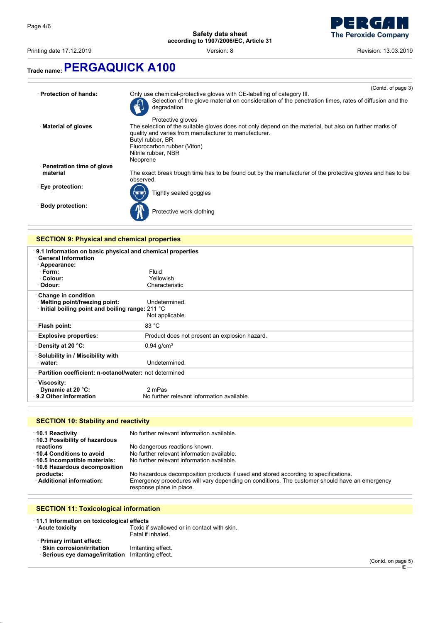$\bar{z}$ 

**Safety data sheet according to 1907/2006/EC, Article 31**



Printing date 17.12.2019 **Printing date 17.12.2019 Revision: 13.03.2019 Version: 8 Revision: 13.03.2019** 

## **Trade name:PERGAQUICK A100**

|                                                    | (Contd. of page 3)                                                                                                                                                                                                                                                          |  |  |
|----------------------------------------------------|-----------------------------------------------------------------------------------------------------------------------------------------------------------------------------------------------------------------------------------------------------------------------------|--|--|
| · Protection of hands:                             | Only use chemical-protective gloves with CE-labelling of category III.<br>Selection of the glove material on consideration of the penetration times, rates of diffusion and the<br>degradation                                                                              |  |  |
| · Material of gloves                               | Protective gloves<br>The selection of the suitable gloves does not only depend on the material, but also on further marks of<br>quality and varies from manufacturer to manufacturer.<br>Butyl rubber, BR<br>Fluorocarbon rubber (Viton)<br>Nitrile rubber, NBR<br>Neoprene |  |  |
| · Penetration time of glove<br>material            | The exact break trough time has to be found out by the manufacturer of the protective gloves and has to be<br>observed.                                                                                                                                                     |  |  |
| ⋅ Eye protection:                                  | Tightly sealed goggles                                                                                                                                                                                                                                                      |  |  |
| · Body protection:                                 | Protective work clothing                                                                                                                                                                                                                                                    |  |  |
|                                                    |                                                                                                                                                                                                                                                                             |  |  |
| <b>SECTION 9: Physical and chemical properties</b> |                                                                                                                                                                                                                                                                             |  |  |

| 9.1 Information on basic physical and chemical properties<br><b>General Information</b><br>· Appearance: |                                               |  |
|----------------------------------------------------------------------------------------------------------|-----------------------------------------------|--|
| · Form:                                                                                                  | Fluid                                         |  |
| · Colour:                                                                                                | Yellowish                                     |  |
| · Odour:                                                                                                 | Characteristic                                |  |
| Change in condition                                                                                      |                                               |  |
| · Melting point/freezing point:                                                                          | Undetermined.                                 |  |
| Initial boiling point and boiling range: 211 °C                                                          |                                               |  |
|                                                                                                          | Not applicable.                               |  |
| · Flash point:                                                                                           | 83 °C                                         |  |
| <b>Explosive properties:</b>                                                                             | Product does not present an explosion hazard. |  |
| ⋅ Density at 20 °C:                                                                                      | $0,94$ g/cm <sup>3</sup>                      |  |
| · Solubility in / Miscibility with                                                                       |                                               |  |
| ∵water:                                                                                                  | Undetermined.                                 |  |
| · Partition coefficient: n-octanol/water: not determined                                                 |                                               |  |
| ∵Viscosity:                                                                                              |                                               |  |
| ⋅ Dynamic at 20 °C:                                                                                      | 2 mPas                                        |  |
| ⋅ 9.2 Other information                                                                                  | No further relevant information available.    |  |

### **SECTION 10: Stability and reactivity**

| No further relevant information available.<br>⋅ 10.1 Reactivity |                                                                                                                           |  |
|-----------------------------------------------------------------|---------------------------------------------------------------------------------------------------------------------------|--|
| 10.3 Possibility of hazardous                                   |                                                                                                                           |  |
| reactions                                                       | No dangerous reactions known.                                                                                             |  |
| 10.4 Conditions to avoid                                        | No further relevant information available.                                                                                |  |
| 10.5 Incompatible materials:                                    | No further relevant information available.                                                                                |  |
| 10.6 Hazardous decomposition                                    |                                                                                                                           |  |
| products:                                                       | No hazardous decomposition products if used and stored according to specifications.                                       |  |
| · Additional information:                                       | Emergency procedures will vary depending on conditions. The customer should have an emergency<br>response plane in place. |  |

### **SECTION 11: Toxicological information**

| 11.1 Information on toxicological effects                                                                        |                                                                  |
|------------------------------------------------------------------------------------------------------------------|------------------------------------------------------------------|
| · Acute toxicity                                                                                                 | Toxic if swallowed or in contact with skin.<br>Fatal if inhaled. |
| · Primary irritant effect:<br>· Skin corrosion/irritation<br>· Serious eye damage/irritation Irritanting effect. | Irritanting effect.                                              |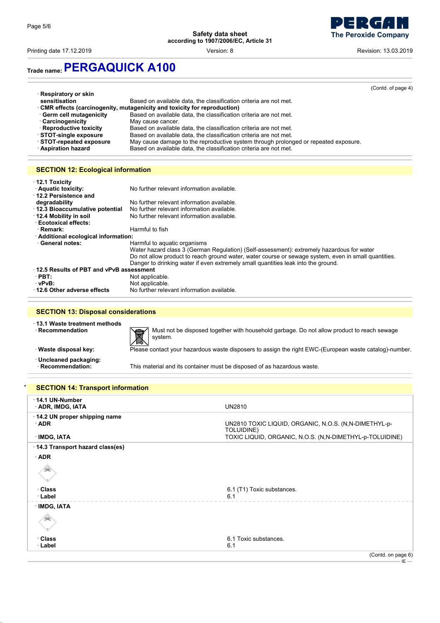

Printing date 17.12.2019 **Printing date 17.12.2019 Revision: 8** Revision: 13.03.2019

## **Trade name:PERGAQUICK A100**

|                             |                                                                                     | (Contd. of page 4) |
|-----------------------------|-------------------------------------------------------------------------------------|--------------------|
| $\cdot$ Respiratory or skin |                                                                                     |                    |
| sensitisation               | Based on available data, the classification criteria are not met.                   |                    |
|                             | $\cdot$ CMR effects (carcinogenity, mutagenicity and toxicity for reproduction)     |                    |
| Germ cell mutagenicity      | Based on available data, the classification criteria are not met.                   |                    |
| <b>Carcinogenicity</b>      | May cause cancer.                                                                   |                    |
| · Reproductive toxicity     | Based on available data, the classification criteria are not met.                   |                    |
| STOT-single exposure        | Based on available data, the classification criteria are not met.                   |                    |
| STOT-repeated exposure      | May cause damage to the reproductive system through prolonged or repeated exposure. |                    |
| · Aspiration hazard         | Based on available data, the classification criteria are not met.                   |                    |
|                             |                                                                                     |                    |

### **SECTION 12: Ecological information**

| $\cdot$ 12.1 Toxicity<br>· Aquatic toxicity:<br>No further relevant information available.<br>$\cdot$ 12.2 Persistence and |                                                                                                      |  |  |
|----------------------------------------------------------------------------------------------------------------------------|------------------------------------------------------------------------------------------------------|--|--|
| degradability                                                                                                              | No further relevant information available.                                                           |  |  |
| 12.3 Bioaccumulative potential<br>No further relevant information available.                                               |                                                                                                      |  |  |
| ⋅ 12.4 Mobility in soil                                                                                                    | No further relevant information available.                                                           |  |  |
| <b>Ecotoxical effects:</b>                                                                                                 |                                                                                                      |  |  |
| · Remark:                                                                                                                  | Harmful to fish                                                                                      |  |  |
| · Additional ecological information:                                                                                       |                                                                                                      |  |  |
| · General notes:<br>Harmful to aquatic organisms                                                                           |                                                                                                      |  |  |
|                                                                                                                            | Water hazard class 3 (German Regulation) (Self-assessment): extremely hazardous for water            |  |  |
|                                                                                                                            | Do not allow product to reach ground water, water course or sewage system, even in small quantities. |  |  |
|                                                                                                                            | Danger to drinking water if even extremely small guantities leak into the ground.                    |  |  |
| 12.5 Results of PBT and vPvB assessment                                                                                    |                                                                                                      |  |  |
| $\cdot$ PBT:                                                                                                               | Not applicable.                                                                                      |  |  |
| · vPvB:                                                                                                                    | Not applicable.                                                                                      |  |  |
| 12.6 Other adverse effects                                                                                                 | No further relevant information available.                                                           |  |  |

### **SECTION 13: Disposal considerations**

|  | $\cdot$ 13.1 Waste treatment methods |  |
|--|--------------------------------------|--|
|  | $\cdot$ Recommendation               |  |



• **Recommendation Product to reach servestion** Must not be disposed together with household garbage. Do not allow product to reach sewage system.<br>• **Waste disposal key:** Please contact your hazardous waste disposers to a system.

· **Uncleaned packaging:**

· **Waste disposal key:** Please contact your hazardous waste disposers to assign the right EWC-(European waste catalog)-number.

This material and its container must be disposed of as hazardous waste.

#### **SECTION 14: Transport information**

| $\cdot$ 14.1 UN-Number<br>· ADR, IMDG, IATA | <b>UN2810</b>                                                       |
|---------------------------------------------|---------------------------------------------------------------------|
| 14.2 UN proper shipping name<br>$\cdot$ ADR | UN2810 TOXIC LIQUID, ORGANIC, N.O.S. (N,N-DIMETHYL-p-<br>TOLUIDINE) |
| · IMDG, IATA                                | TOXIC LIQUID, ORGANIC, N.O.S. (N,N-DIMETHYL-p-TOLUIDINE)            |
| 14.3 Transport hazard class(es)             |                                                                     |
| $\cdot$ ADR                                 |                                                                     |
| Տ                                           |                                                                     |
| ⊕Class                                      | 6.1 (T1) Toxic substances.                                          |
| <b>· Label</b>                              | 6.1                                                                 |
| · IMDG, IATA                                |                                                                     |
|                                             |                                                                     |
| ∴Class                                      | 6.1 Toxic substances.                                               |
| $\cdot$ Label                               | 6.1                                                                 |
|                                             | (Contd. on page 6)                                                  |